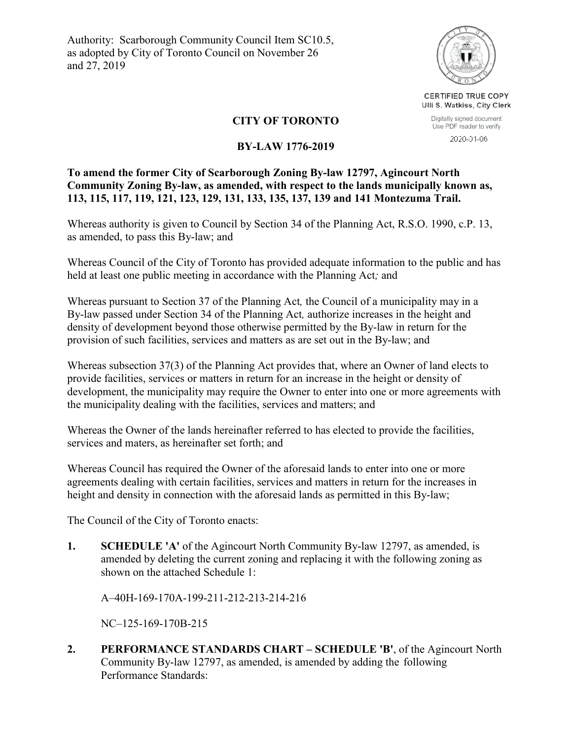Authority: Scarborough Community Council Item SC10.5, as adopted by City of Toronto Council on November 26 and 27, 2019



CERTIFIED TRUE COPY Ulli S. Watkiss, City Clerk

Digitally signed document Use PDF reader to verify 2020-01-06

# **CITY OF TORONTO**

#### **BY-LAW 1776-2019**

## **To amend the former City of Scarborough Zoning By-law 12797, Agincourt North Community Zoning By-law, as amended, with respect to the lands municipally known as, 113, 115, 117, 119, 121, 123, 129, 131, 133, 135, 137, 139 and 141 Montezuma Trail.**

Whereas authority is given to Council by Section 34 of the Planning Act, R.S.O. 1990, c.P. 13, as amended, to pass this By-law; and

Whereas Council of the City of Toronto has provided adequate information to the public and has held at least one public meeting in accordance with the Planning Act*;* and

Whereas pursuant to Section 37 of the Planning Act*,* the Council of a municipality may in a By-law passed under Section 34 of the Planning Act*,* authorize increases in the height and density of development beyond those otherwise permitted by the By-law in return for the provision of such facilities, services and matters as are set out in the By-law; and

Whereas subsection 37(3) of the Planning Act provides that, where an Owner of land elects to provide facilities, services or matters in return for an increase in the height or density of development, the municipality may require the Owner to enter into one or more agreements with the municipality dealing with the facilities, services and matters; and

Whereas the Owner of the lands hereinafter referred to has elected to provide the facilities, services and maters, as hereinafter set forth; and

Whereas Council has required the Owner of the aforesaid lands to enter into one or more agreements dealing with certain facilities, services and matters in return for the increases in height and density in connection with the aforesaid lands as permitted in this By-law;

The Council of the City of Toronto enacts:

**1. SCHEDULE 'A'** of the Agincourt North Community By-law 12797, as amended, is amended by deleting the current zoning and replacing it with the following zoning as shown on the attached Schedule 1:

A–40H-169-170A-199-211-212-213-214-216

NC–125-169-170B-215

**2. PERFORMANCE STANDARDS CHART – SCHEDULE 'B'**, of the Agincourt North Community By-law 12797, as amended, is amended by adding the following Performance Standards: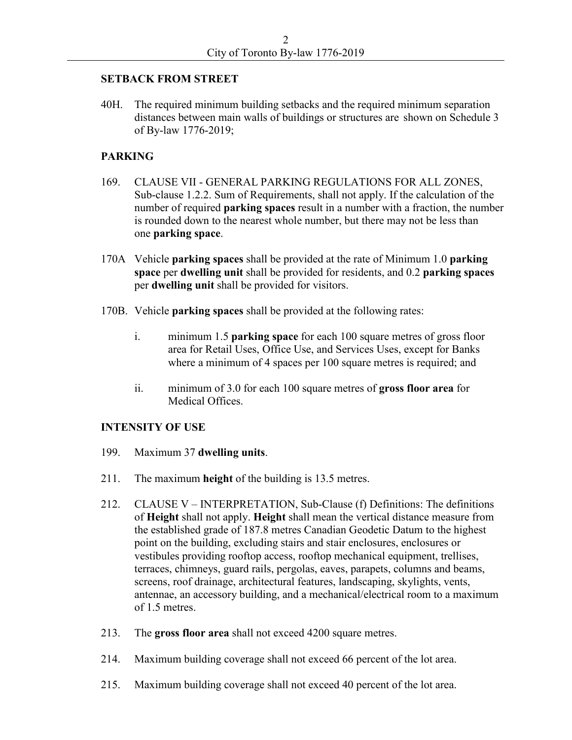#### **SETBACK FROM STREET**

40H. The required minimum building setbacks and the required minimum separation distances between main walls of buildings or structures are shown on Schedule 3 of By-law 1776-2019;

# **PARKING**

- 169. CLAUSE VII GENERAL PARKING REGULATIONS FOR ALL ZONES, Sub-clause 1.2.2. Sum of Requirements, shall not apply. If the calculation of the number of required **parking spaces** result in a number with a fraction, the number is rounded down to the nearest whole number, but there may not be less than one **parking space**.
- 170A Vehicle **parking spaces** shall be provided at the rate of Minimum 1.0 **parking space** per **dwelling unit** shall be provided for residents, and 0.2 **parking spaces** per **dwelling unit** shall be provided for visitors.
- 170B. Vehicle **parking spaces** shall be provided at the following rates:
	- i. minimum 1.5 **parking space** for each 100 square metres of gross floor area for Retail Uses, Office Use, and Services Uses, except for Banks where a minimum of 4 spaces per 100 square metres is required; and
	- ii. minimum of 3.0 for each 100 square metres of **gross floor area** for Medical Offices.

#### **INTENSITY OF USE**

- 199. Maximum 37 **dwelling units**.
- 211. The maximum **height** of the building is 13.5 metres.
- 212. CLAUSE V INTERPRETATION, Sub-Clause (f) Definitions: The definitions of **Height** shall not apply. **Height** shall mean the vertical distance measure from the established grade of 187.8 metres Canadian Geodetic Datum to the highest point on the building, excluding stairs and stair enclosures, enclosures or vestibules providing rooftop access, rooftop mechanical equipment, trellises, terraces, chimneys, guard rails, pergolas, eaves, parapets, columns and beams, screens, roof drainage, architectural features, landscaping, skylights, vents, antennae, an accessory building, and a mechanical/electrical room to a maximum of 1.5 metres.
- 213. The **gross floor area** shall not exceed 4200 square metres.
- 214. Maximum building coverage shall not exceed 66 percent of the lot area.
- 215. Maximum building coverage shall not exceed 40 percent of the lot area.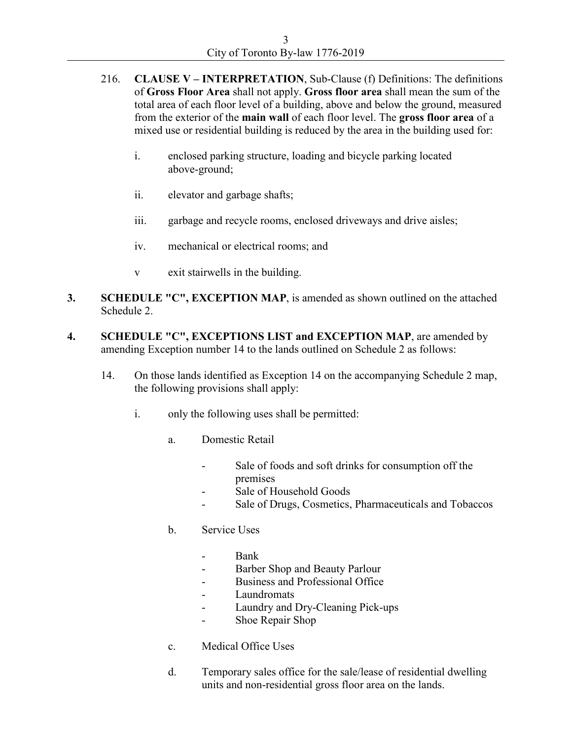- 216. **CLAUSE V – INTERPRETATION**, Sub-Clause (f) Definitions: The definitions of **Gross Floor Area** shall not apply. **Gross floor area** shall mean the sum of the total area of each floor level of a building, above and below the ground, measured from the exterior of the **main wall** of each floor level. The **gross floor area** of a mixed use or residential building is reduced by the area in the building used for:
	- i. enclosed parking structure, loading and bicycle parking located above-ground;
	- ii. elevator and garbage shafts;
	- iii. garbage and recycle rooms, enclosed driveways and drive aisles;
	- iv. mechanical or electrical rooms; and
	- v exit stairwells in the building.
- **3. SCHEDULE "C", EXCEPTION MAP**, is amended as shown outlined on the attached Schedule 2.
- **4. SCHEDULE "C", EXCEPTIONS LIST and EXCEPTION MAP**, are amended by amending Exception number 14 to the lands outlined on Schedule 2 as follows:
	- 14. On those lands identified as Exception 14 on the accompanying Schedule 2 map, the following provisions shall apply:
		- i. only the following uses shall be permitted:
			- a. Domestic Retail
				- Sale of foods and soft drinks for consumption off the premises
				- Sale of Household Goods
				- Sale of Drugs, Cosmetics, Pharmaceuticals and Tobaccos
			- b. Service Uses
				- Bank
				- Barber Shop and Beauty Parlour
				- Business and Professional Office
				- **Laundromats**
				- Laundry and Dry-Cleaning Pick-ups
				- Shoe Repair Shop
			- c. Medical Office Uses
			- d. Temporary sales office for the sale/lease of residential dwelling units and non-residential gross floor area on the lands.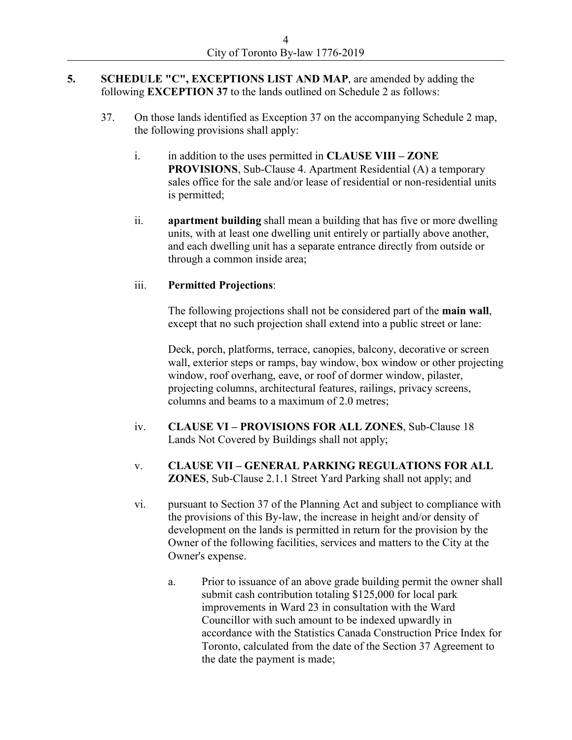#### **5. SCHEDULE "C", EXCEPTIONS LIST AND MAP**, are amended by adding the following **EXCEPTION 37** to the lands outlined on Schedule 2 as follows:

- 37. On those lands identified as Exception 37 on the accompanying Schedule 2 map, the following provisions shall apply:
	- i. in addition to the uses permitted in **CLAUSE VIII – ZONE PROVISIONS**, Sub-Clause 4. Apartment Residential (A) a temporary sales office for the sale and/or lease of residential or non-residential units is permitted;
	- ii. **apartment building** shall mean a building that has five or more dwelling units, with at least one dwelling unit entirely or partially above another, and each dwelling unit has a separate entrance directly from outside or through a common inside area;

## iii. **Permitted Projections**:

The following projections shall not be considered part of the **main wall**, except that no such projection shall extend into a public street or lane:

Deck, porch, platforms, terrace, canopies, balcony, decorative or screen wall, exterior steps or ramps, bay window, box window or other projecting window, roof overhang, eave, or roof of dormer window, pilaster, projecting columns, architectural features, railings, privacy screens, columns and beams to a maximum of 2.0 metres;

- iv. **CLAUSE VI – PROVISIONS FOR ALL ZONES**, Sub-Clause 18 Lands Not Covered by Buildings shall not apply;
- v. **CLAUSE VII – GENERAL PARKING REGULATIONS FOR ALL ZONES**, Sub-Clause 2.1.1 Street Yard Parking shall not apply; and
- vi. pursuant to Section 37 of the Planning Act and subject to compliance with the provisions of this By-law, the increase in height and/or density of development on the lands is permitted in return for the provision by the Owner of the following facilities, services and matters to the City at the Owner's expense.
	- a. Prior to issuance of an above grade building permit the owner shall submit cash contribution totaling \$125,000 for local park improvements in Ward 23 in consultation with the Ward Councillor with such amount to be indexed upwardly in accordance with the Statistics Canada Construction Price Index for Toronto, calculated from the date of the Section 37 Agreement to the date the payment is made;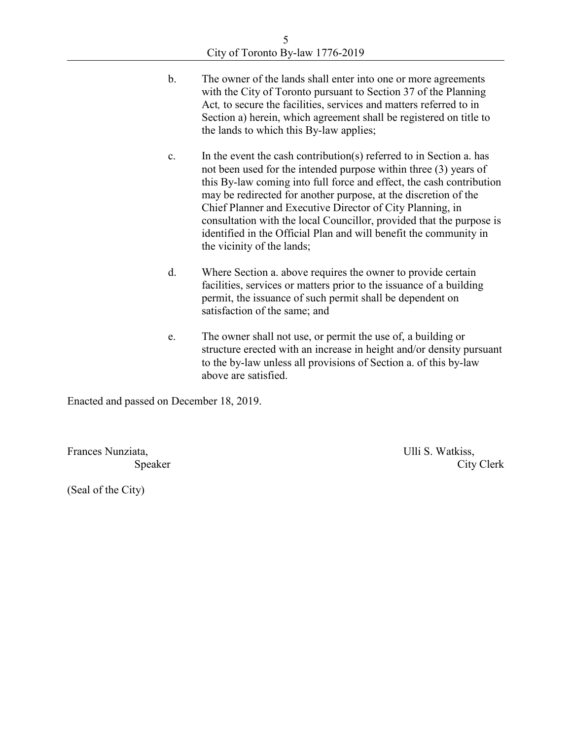- b. The owner of the lands shall enter into one or more agreements with the City of Toronto pursuant to Section 37 of the Planning Act*,* to secure the facilities, services and matters referred to in Section a) herein, which agreement shall be registered on title to the lands to which this By-law applies;
- c. In the event the cash contribution(s) referred to in Section a. has not been used for the intended purpose within three (3) years of this By-law coming into full force and effect, the cash contribution may be redirected for another purpose, at the discretion of the Chief Planner and Executive Director of City Planning, in consultation with the local Councillor, provided that the purpose is identified in the Official Plan and will benefit the community in the vicinity of the lands;
- d. Where Section a. above requires the owner to provide certain facilities, services or matters prior to the issuance of a building permit, the issuance of such permit shall be dependent on satisfaction of the same; and
- e. The owner shall not use, or permit the use of, a building or structure erected with an increase in height and/or density pursuant to the by-law unless all provisions of Section a. of this by-law above are satisfied.

Enacted and passed on December 18, 2019.

Frances Nunziata, the contract of the contract of the Ulli S. Watkiss,

Speaker City Clerk

(Seal of the City)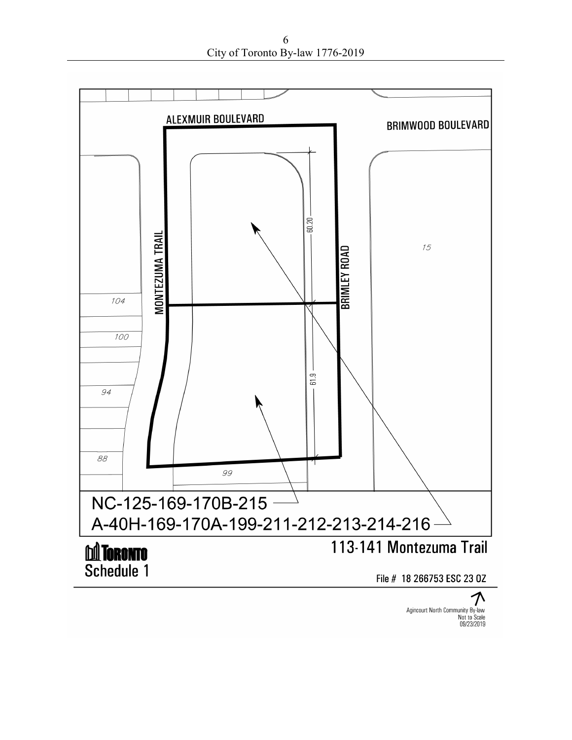6 City of Toronto By-law 1776-2019



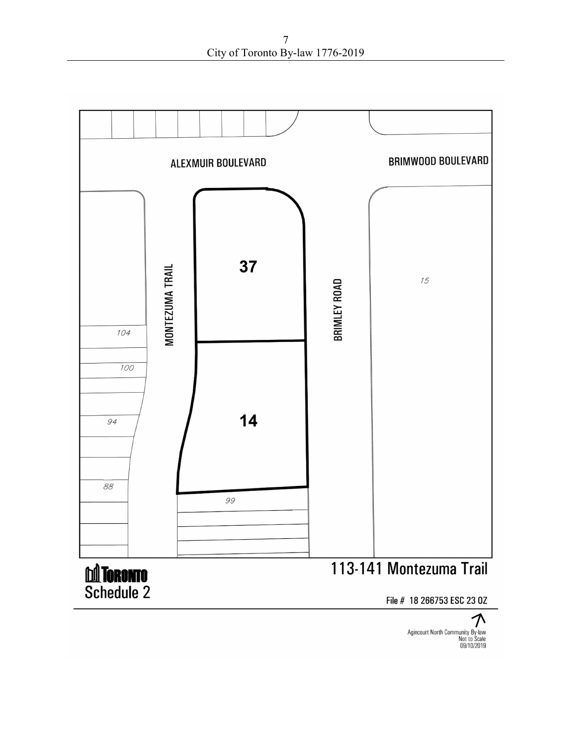7 City of Toronto By-law 1776-2019